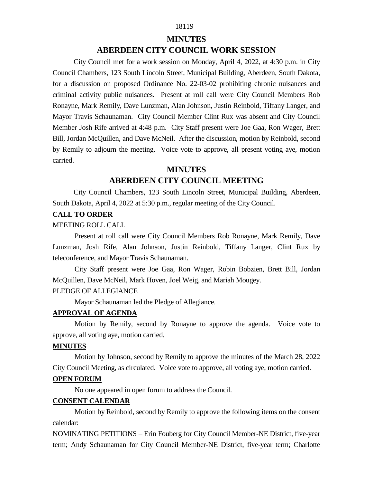# 18119

#### **MINUTES**

# **ABERDEEN CITY COUNCIL WORK SESSION**

City Council met for a work session on Monday, April 4, 2022, at 4:30 p.m. in City Council Chambers, 123 South Lincoln Street, Municipal Building, Aberdeen, South Dakota, for a discussion on proposed Ordinance No. 22-03-02 prohibiting chronic nuisances and criminal activity public nuisances. Present at roll call were City Council Members Rob Ronayne, Mark Remily, Dave Lunzman, Alan Johnson, Justin Reinbold, Tiffany Langer, and Mayor Travis Schaunaman. City Council Member Clint Rux was absent and City Council Member Josh Rife arrived at 4:48 p.m. City Staff present were Joe Gaa, Ron Wager, Brett Bill, Jordan McQuillen, and Dave McNeil. After the discussion, motion by Reinbold, second by Remily to adjourn the meeting. Voice vote to approve, all present voting aye, motion carried.

## **MINUTES**

# **ABERDEEN CITY COUNCIL MEETING**

 City Council Chambers, 123 South Lincoln Street, Municipal Building, Aberdeen, South Dakota, April 4, 2022 at 5:30 p.m., regular meeting of the City Council.

#### **CALL TO ORDER**

#### MEETING ROLL CALL

Present at roll call were City Council Members Rob Ronayne, Mark Remily, Dave Lunzman, Josh Rife, Alan Johnson, Justin Reinbold, Tiffany Langer, Clint Rux by teleconference, and Mayor Travis Schaunaman.

City Staff present were Joe Gaa, Ron Wager, Robin Bobzien, Brett Bill, Jordan McQuillen, Dave McNeil, Mark Hoven, Joel Weig, and Mariah Mougey.

#### PLEDGE OF ALLEGIANCE

Mayor Schaunaman led the Pledge of Allegiance.

## **APPROVAL OF AGENDA**

Motion by Remily, second by Ronayne to approve the agenda. Voice vote to approve, all voting aye, motion carried.

#### **MINUTES**

Motion by Johnson, second by Remily to approve the minutes of the March 28, 2022 City Council Meeting, as circulated. Voice vote to approve, all voting aye, motion carried.

# **OPEN FORUM**

No one appeared in open forum to address the Council.

## **CONSENT CALENDAR**

Motion by Reinbold, second by Remily to approve the following items on the consent calendar:

NOMINATING PETITIONS – Erin Fouberg for City Council Member-NE District, five-year term; Andy Schaunaman for City Council Member-NE District, five-year term; Charlotte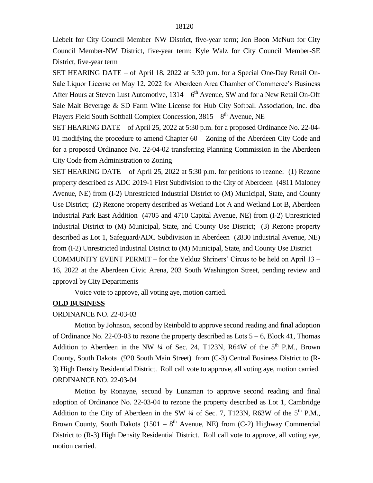Liebelt for City Council Member–NW District, five-year term; Jon Boon McNutt for City Council Member-NW District, five-year term; Kyle Walz for City Council Member-SE District, five-year term

SET HEARING DATE – of April 18, 2022 at 5:30 p.m. for a Special One-Day Retail On-Sale Liquor License on May 12, 2022 for Aberdeen Area Chamber of Commerce's Business After Hours at Steven Lust Automotive, 1314 – 6<sup>th</sup> Avenue, SW and for a New Retail On-Off Sale Malt Beverage & SD Farm Wine License for Hub City Softball Association, Inc. dba Players Field South Softball Complex Concession,  $3815 - 8<sup>th</sup>$  Avenue, NE

SET HEARING DATE – of April 25, 2022 at 5:30 p.m. for a proposed Ordinance No. 22-04- 01 modifying the procedure to amend Chapter 60 – Zoning of the Aberdeen City Code and for a proposed Ordinance No. 22-04-02 transferring Planning Commission in the Aberdeen City Code from Administration to Zoning

SET HEARING DATE – of April 25, 2022 at 5:30 p.m. for petitions to rezone: (1) Rezone property described as ADC 2019-1 First Subdivision to the City of Aberdeen (4811 Maloney Avenue, NE) from (I-2) Unrestricted Industrial District to (M) Municipal, State, and County Use District; (2) Rezone property described as Wetland Lot A and Wetland Lot B, Aberdeen Industrial Park East Addition (4705 and 4710 Capital Avenue, NE) from (I-2) Unrestricted Industrial District to (M) Municipal, State, and County Use District; (3) Rezone property described as Lot 1, Safeguard/ADC Subdivision in Aberdeen (2830 Industrial Avenue, NE) from (I-2) Unrestricted Industrial District to (M) Municipal, State, and County Use District COMMUNITY EVENT PERMIT – for the Yelduz Shriners' Circus to be held on April 13 – 16, 2022 at the Aberdeen Civic Arena, 203 South Washington Street, pending review and

approval by City Departments

Voice vote to approve, all voting aye, motion carried.

## **OLD BUSINESS**

# ORDINANCE NO. 22-03-03

Motion by Johnson, second by Reinbold to approve second reading and final adoption of Ordinance No. 22-03-03 to rezone the property described as Lots  $5 - 6$ , Block 41, Thomas Addition to Aberdeen in the NW  $\frac{1}{4}$  of Sec. 24, T123N, R64W of the  $5<sup>th</sup>$  P.M., Brown County, South Dakota (920 South Main Street) from (C-3) Central Business District to (R-3) High Density Residential District. Roll call vote to approve, all voting aye, motion carried. ORDINANCE NO. 22-03-04

Motion by Ronayne, second by Lunzman to approve second reading and final adoption of Ordinance No. 22-03-04 to rezone the property described as Lot 1, Cambridge Addition to the City of Aberdeen in the SW  $\frac{1}{4}$  of Sec. 7, T123N, R63W of the 5<sup>th</sup> P.M., Brown County, South Dakota (1501 –  $8<sup>th</sup>$  Avenue, NE) from (C-2) Highway Commercial District to (R-3) High Density Residential District. Roll call vote to approve, all voting aye, motion carried.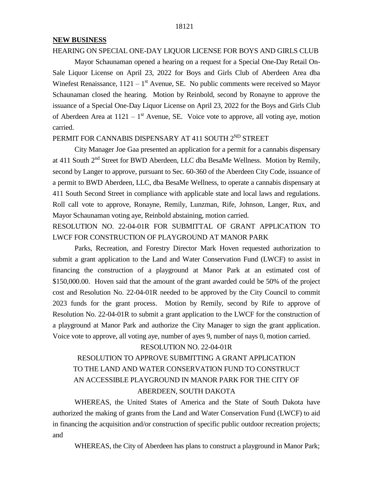## **NEW BUSINESS**

## HEARING ON SPECIAL ONE-DAY LIQUOR LICENSE FOR BOYS AND GIRLS CLUB

Mayor Schaunaman opened a hearing on a request for a Special One-Day Retail On-Sale Liquor License on April 23, 2022 for Boys and Girls Club of Aberdeen Area dba Winefest Renaissance,  $1121 - 1$ <sup>st</sup> Avenue, SE. No public comments were received so Mayor Schaunaman closed the hearing. Motion by Reinbold, second by Ronayne to approve the issuance of a Special One-Day Liquor License on April 23, 2022 for the Boys and Girls Club of Aberdeen Area at  $1121 - 1<sup>st</sup>$  Avenue, SE. Voice vote to approve, all voting aye, motion carried.

# PERMIT FOR CANNABIS DISPENSARY AT 411 SOUTH 2<sup>ND</sup> STREET

City Manager Joe Gaa presented an application for a permit for a cannabis dispensary at 411 South 2<sup>nd</sup> Street for BWD Aberdeen, LLC dba BesaMe Wellness. Motion by Remily, second by Langer to approve, pursuant to Sec. 60-360 of the Aberdeen City Code, issuance of a permit to BWD Aberdeen, LLC, dba BesaMe Wellness, to operate a cannabis dispensary at 411 South Second Street in compliance with applicable state and local laws and regulations. Roll call vote to approve, Ronayne, Remily, Lunzman, Rife, Johnson, Langer, Rux, and Mayor Schaunaman voting aye, Reinbold abstaining, motion carried.

RESOLUTION NO. 22-04-01R FOR SUBMITTAL OF GRANT APPLICATION TO LWCF FOR CONSTRUCTION OF PLAYGROUND AT MANOR PARK

Parks, Recreation, and Forestry Director Mark Hoven requested authorization to submit a grant application to the Land and Water Conservation Fund (LWCF) to assist in financing the construction of a playground at Manor Park at an estimated cost of \$150,000.00. Hoven said that the amount of the grant awarded could be 50% of the project cost and Resolution No. 22-04-01R needed to be approved by the City Council to commit 2023 funds for the grant process. Motion by Remily, second by Rife to approve of Resolution No. 22-04-01R to submit a grant application to the LWCF for the construction of a playground at Manor Park and authorize the City Manager to sign the grant application. Voice vote to approve, all voting aye, number of ayes 9, number of nays 0, motion carried.

#### RESOLUTION NO. 22-04-01R

# RESOLUTION TO APPROVE SUBMITTING A GRANT APPLICATION TO THE LAND AND WATER CONSERVATION FUND TO CONSTRUCT AN ACCESSIBLE PLAYGROUND IN MANOR PARK FOR THE CITY OF ABERDEEN, SOUTH DAKOTA

WHEREAS, the United States of America and the State of South Dakota have authorized the making of grants from the Land and Water Conservation Fund (LWCF) to aid in financing the acquisition and/or construction of specific public outdoor recreation projects; and

WHEREAS, the City of Aberdeen has plans to construct a playground in Manor Park;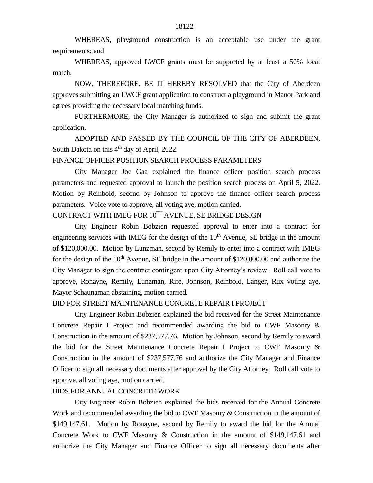WHEREAS, playground construction is an acceptable use under the grant requirements; and

WHEREAS, approved LWCF grants must be supported by at least a 50% local match.

NOW, THEREFORE, BE IT HEREBY RESOLVED that the City of Aberdeen approves submitting an LWCF grant application to construct a playground in Manor Park and agrees providing the necessary local matching funds.

FURTHERMORE, the City Manager is authorized to sign and submit the grant application.

ADOPTED AND PASSED BY THE COUNCIL OF THE CITY OF ABERDEEN, South Dakota on this  $4<sup>th</sup>$  day of April, 2022.

## FINANCE OFFICER POSITION SEARCH PROCESS PARAMETERS

City Manager Joe Gaa explained the finance officer position search process parameters and requested approval to launch the position search process on April 5, 2022. Motion by Reinbold, second by Johnson to approve the finance officer search process parameters. Voice vote to approve, all voting aye, motion carried.

# CONTRACT WITH IMEG FOR 10TH AVENUE, SE BRIDGE DESIGN

City Engineer Robin Bobzien requested approval to enter into a contract for engineering services with IMEG for the design of the  $10<sup>th</sup>$  Avenue, SE bridge in the amount of \$120,000.00. Motion by Lunzman, second by Remily to enter into a contract with IMEG for the design of the  $10<sup>th</sup>$  Avenue, SE bridge in the amount of \$120,000.00 and authorize the City Manager to sign the contract contingent upon City Attorney's review. Roll call vote to approve, Ronayne, Remily, Lunzman, Rife, Johnson, Reinbold, Langer, Rux voting aye, Mayor Schaunaman abstaining, motion carried.

### BID FOR STREET MAINTENANCE CONCRETE REPAIR I PROJECT

City Engineer Robin Bobzien explained the bid received for the Street Maintenance Concrete Repair I Project and recommended awarding the bid to CWF Masonry & Construction in the amount of \$237,577.76. Motion by Johnson, second by Remily to award the bid for the Street Maintenance Concrete Repair I Project to CWF Masonry & Construction in the amount of \$237,577.76 and authorize the City Manager and Finance Officer to sign all necessary documents after approval by the City Attorney. Roll call vote to approve, all voting aye, motion carried.

#### BIDS FOR ANNUAL CONCRETE WORK

City Engineer Robin Bobzien explained the bids received for the Annual Concrete Work and recommended awarding the bid to CWF Masonry & Construction in the amount of \$149,147.61. Motion by Ronayne, second by Remily to award the bid for the Annual Concrete Work to CWF Masonry & Construction in the amount of \$149,147.61 and authorize the City Manager and Finance Officer to sign all necessary documents after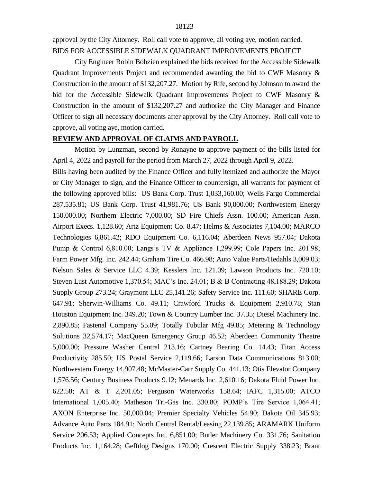approval by the City Attorney. Roll call vote to approve, all voting aye, motion carried. BIDS FOR ACCESSIBLE SIDEWALK QUADRANT IMPROVEMENTS PROJECT

City Engineer Robin Bobzien explained the bids received for the Accessible Sidewalk Quadrant Improvements Project and recommended awarding the bid to CWF Masonry & Construction in the amount of \$132,207.27. Motion by Rife, second by Johnson to award the bid for the Accessible Sidewalk Quadrant Improvements Project to CWF Masonry & Construction in the amount of \$132,207.27 and authorize the City Manager and Finance Officer to sign all necessary documents after approval by the City Attorney. Roll call vote to approve, all voting aye, motion carried.

# **REVIEW AND APPROVAL OF CLAIMS AND PAYROLL**

Motion by Lunzman, second by Ronayne to approve payment of the bills listed for April 4, 2022 and payroll for the period from March 27, 2022 through April 9, 2022. Bills having been audited by the Finance Officer and fully itemized and authorize the Mayor or City Manager to sign, and the Finance Officer to countersign, all warrants for payment of the following approved bills: US Bank Corp. Trust 1,033,160.00; Wells Fargo Commercial 287,535.81; US Bank Corp. Trust 41,981.76; US Bank 90,000.00; Northwestern Energy 150,000.00; Northern Electric 7,000.00; SD Fire Chiefs Assn. 100.00; American Assn. Airport Execs. 1,128.60; Artz Equipment Co. 8.47; Helms & Associates 7,104.00; MARCO Technologies 6,861.42; RDO Equipment Co. 6,116.04; Aberdeen News 957.04; Dakota Pump & Control 6,810.00; Langs's TV & Appliance 1,299.99; Cole Papers Inc. 201.98; Farm Power Mfg. Inc. 242.44; Graham Tire Co. 466.98; Auto Value Parts/Hedahls 3,009.03; Nelson Sales & Service LLC 4.39; Kesslers Inc. 121.09; Lawson Products Inc. 720.10; Steven Lust Automotive 1,370.54; MAC's Inc. 24.01; B & B Contracting 48,188.29; Dakota Supply Group 273.24; Graymont LLC 25,141.26; Safety Service Inc. 111.60; SHARE Corp. 647.91; Sherwin-Williams Co. 49.11; Crawford Trucks & Equipment 2,910.78; Stan Houston Equipment Inc. 349.20; Town & Country Lumber Inc. 37.35; Diesel Machinery Inc. 2,890.85; Fastenal Company 55.09; Totally Tubular Mfg 49.85; Metering & Technology Solutions 32,574.17; MacQueen Emergency Group 46.52; Aberdeen Community Theatre 5,000.00; Pressure Washer Central 213.16; Cartney Bearing Co. 14.43; Titan Access Productivity 285.50; US Postal Service 2,119.66; Larson Data Communications 813.00; Northwestern Energy 14,907.48; McMaster-Carr Supply Co. 441.13; Otis Elevator Company 1,576.56; Century Business Products 9.12; Menards Inc. 2,610.16; Dakota Fluid Power Inc. 622.58; AT & T 2,201.05; Ferguson Waterworks 158.64; IAFC 1,315.00; ATCO International 1,005.40; Matheson Tri-Gas Inc. 330.80; POMP's Tire Service 1,064.41; AXON Enterprise Inc. 50,000.04; Premier Specialty Vehicles 54.90; Dakota Oil 345.93; Advance Auto Parts 184.91; North Central Rental/Leasing 22,139.85; ARAMARK Uniform Service 206.53; Applied Concepts Inc. 6,851.00; Butler Machinery Co. 331.76; Sanitation Products Inc. 1,164.28; Geffdog Designs 170.00; Crescent Electric Supply 338.23; Brant